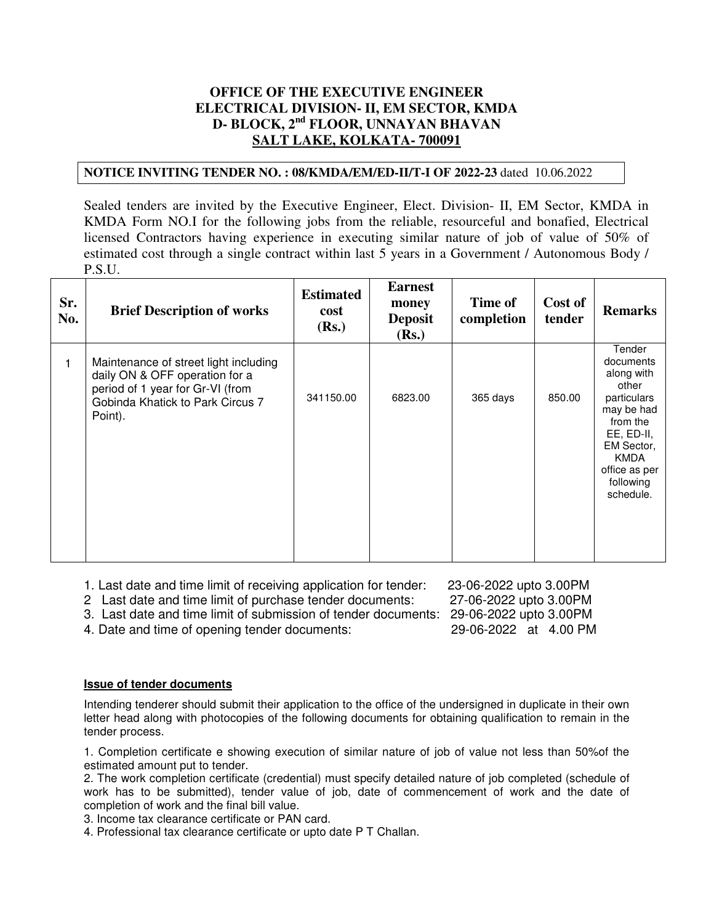# **OFFICE OF THE EXECUTIVE ENGINEER ELECTRICAL DIVISION- II, EM SECTOR, KMDA D- BLOCK, 2nd FLOOR, UNNAYAN BHAVAN SALT LAKE, KOLKATA- 700091**

## **NOTICE INVITING TENDER NO. : 08/KMDA/EM/ED-II/T-I OF 2022-23** dated 10.06.2022

Sealed tenders are invited by the Executive Engineer, Elect. Division- II, EM Sector, KMDA in KMDA Form NO.I for the following jobs from the reliable, resourceful and bonafied, Electrical licensed Contractors having experience in executing similar nature of job of value of 50% of estimated cost through a single contract within last 5 years in a Government / Autonomous Body / P.S.U.

| Sr.<br>No. | <b>Brief Description of works</b>                                                                                                                          | <b>Estimated</b><br>cost<br>(Rs.) | <b>Earnest</b><br>money<br><b>Deposit</b><br>(Rs.) | Time of<br>completion | Cost of<br>tender | <b>Remarks</b>                                                                                                                                                            |
|------------|------------------------------------------------------------------------------------------------------------------------------------------------------------|-----------------------------------|----------------------------------------------------|-----------------------|-------------------|---------------------------------------------------------------------------------------------------------------------------------------------------------------------------|
| 1          | Maintenance of street light including<br>daily ON & OFF operation for a<br>period of 1 year for Gr-VI (from<br>Gobinda Khatick to Park Circus 7<br>Point). | 341150.00                         | 6823.00                                            | 365 days              | 850.00            | Tender<br>documents<br>along with<br>other<br>particulars<br>may be had<br>from the<br>EE, ED-II,<br>EM Sector,<br><b>KMDA</b><br>office as per<br>following<br>schedule. |

1. Last date and time limit of receiving application for tender: 23-06-2022 upto 3.00PM

2 Last date and time limit of purchase tender documents: 27-06-2022 upto 3.00PM

3. Last date and time limit of submission of tender documents: 29-06-2022 upto 3.00PM

4. Date and time of opening tender documents: 29-06-2022 at 4.00 PM

**Issue of tender documents**

Intending tenderer should submit their application to the office of the undersigned in duplicate in their own letter head along with photocopies of the following documents for obtaining qualification to remain in the tender process.

1. Completion certificate e showing execution of similar nature of job of value not less than 50%of the estimated amount put to tender.

2. The work completion certificate (credential) must specify detailed nature of job completed (schedule of work has to be submitted), tender value of job, date of commencement of work and the date of completion of work and the final bill value.

3. Income tax clearance certificate or PAN card.

4. Professional tax clearance certificate or upto date P T Challan.